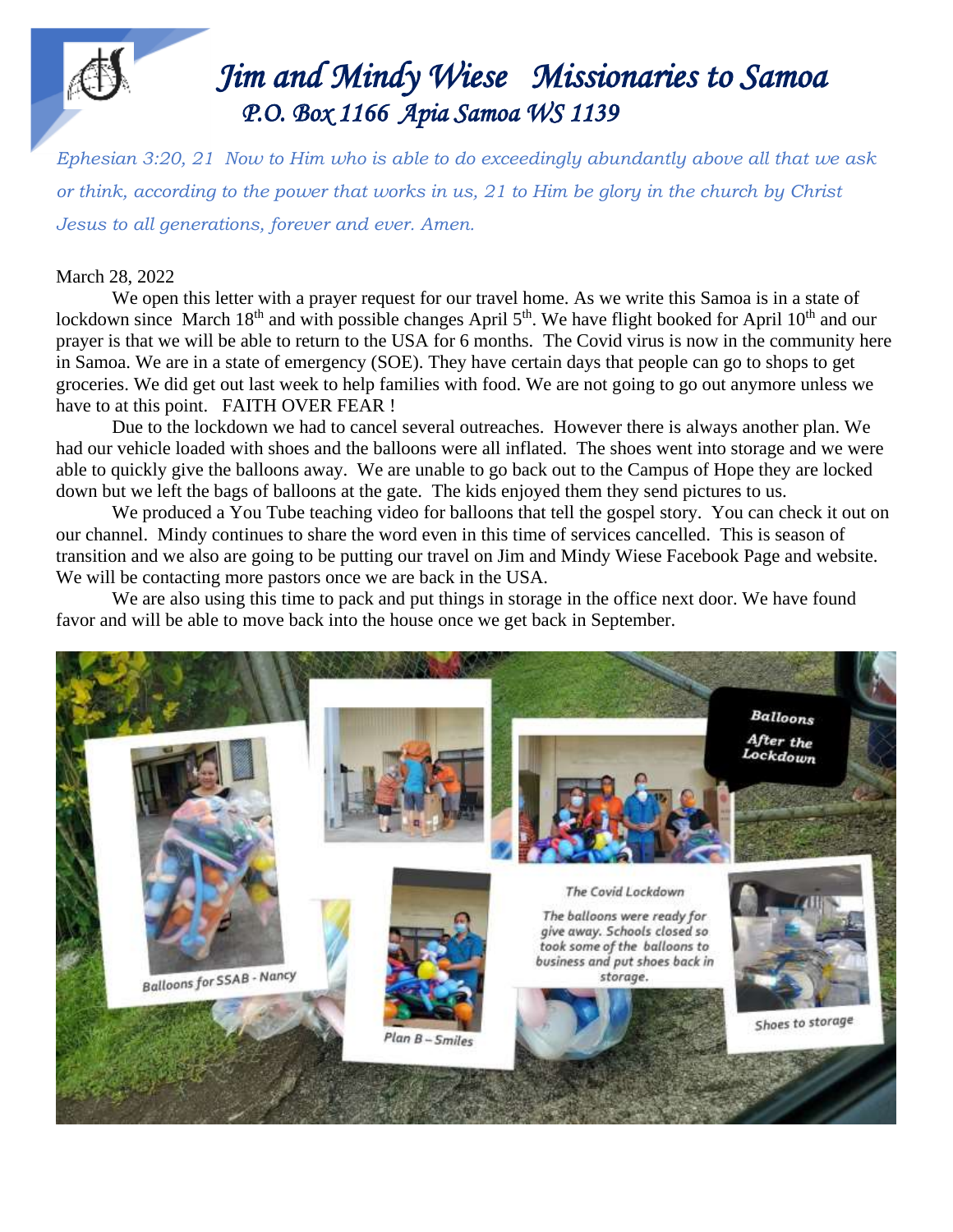# 

#### *Jim Jim and Mindy Wiese Missionaries to Samoa P.O. Box 1166 Apia Samoa WS 1139*

*Ephesian 3:20, 21 Now to Him who is able to do exceedingly abundantly above all that we ask or think, according to the power that works in us, 21 to Him be glory in the church by Christ Jesus to all generations, forever and ever. Amen.*

#### March 28, 2022

We open this letter with a prayer request for our travel home. As we write this Samoa is in a state of lockdown since March 18<sup>th</sup> and with possible changes April 5<sup>th</sup>. We have flight booked for April 10<sup>th</sup> and our prayer is that we will be able to return to the USA for 6 months. The Covid virus is now in the community here in Samoa. We are in a state of emergency (SOE). They have certain days that people can go to shops to get groceries. We did get out last week to help families with food. We are not going to go out anymore unless we have to at this point. FAITH OVER FEAR !

Due to the lockdown we had to cancel several outreaches. However there is always another plan. We had our vehicle loaded with shoes and the balloons were all inflated. The shoes went into storage and we were able to quickly give the balloons away. We are unable to go back out to the Campus of Hope they are locked down but we left the bags of balloons at the gate. The kids enjoyed them they send pictures to us.

We produced a You Tube teaching video for balloons that tell the gospel story. You can check it out on our channel. Mindy continues to share the word even in this time of services cancelled. This is season of transition and we also are going to be putting our travel on Jim and Mindy Wiese Facebook Page and website. We will be contacting more pastors once we are back in the USA.

We are also using this time to pack and put things in storage in the office next door. We have found favor and will be able to move back into the house once we get back in September.

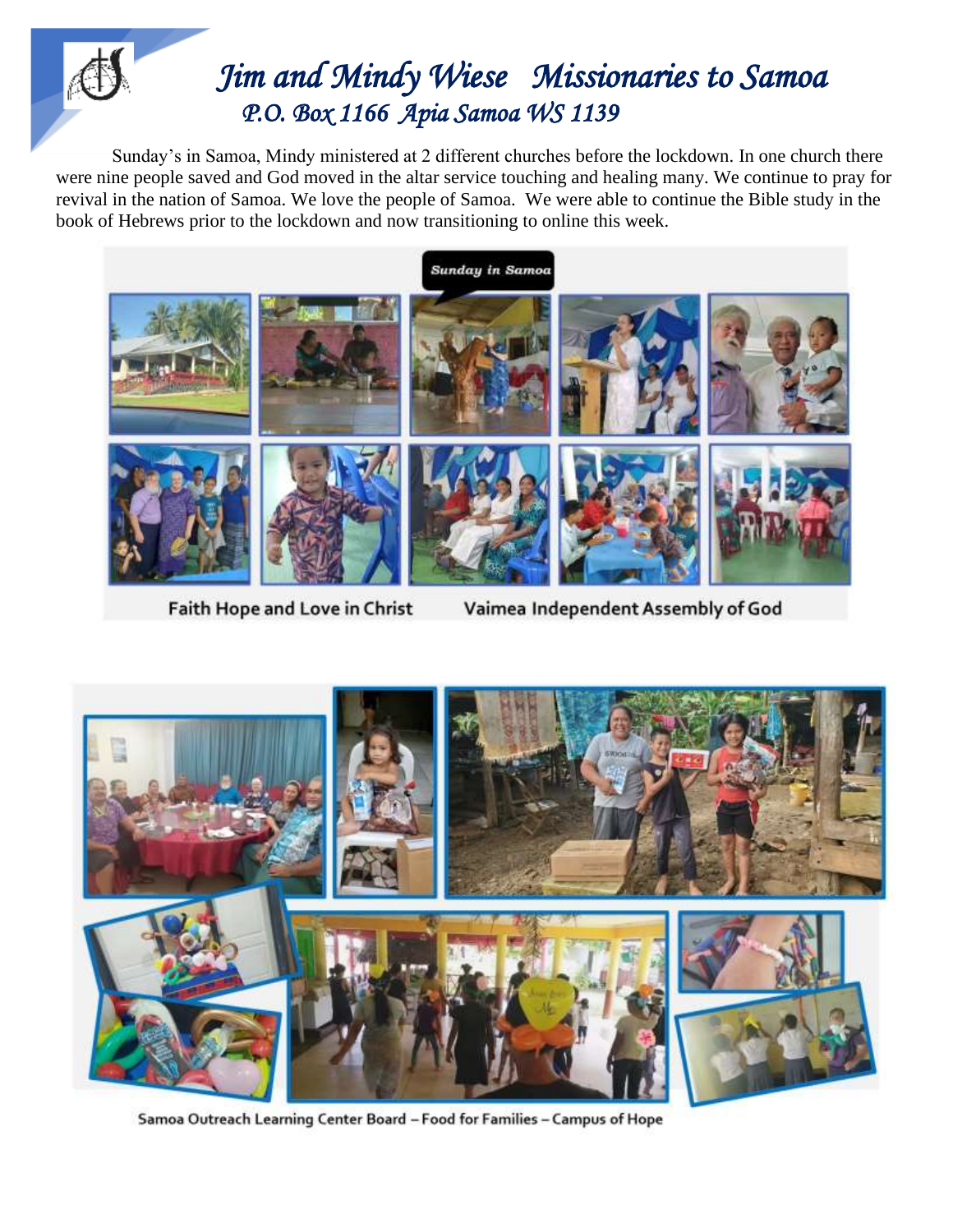## *Jim Jim and Mindy Wiese Missionaries to Samoa P.O. Box 1166 Apia Samoa WS 1139*

 Sunday's in Samoa, Mindy ministered at 2 different churches before the lockdown. In one church there were nine people saved and God moved in the altar service touching and healing many. We continue to pray for revival in the nation of Samoa. We love the people of Samoa. We were able to continue the Bible study in the book of Hebrews prior to the lockdown and now transitioning to online this week.



Faith Hope and Love in Christ

Vaimea Independent Assembly of God



Samoa Outreach Learning Center Board - Food for Families - Campus of Hope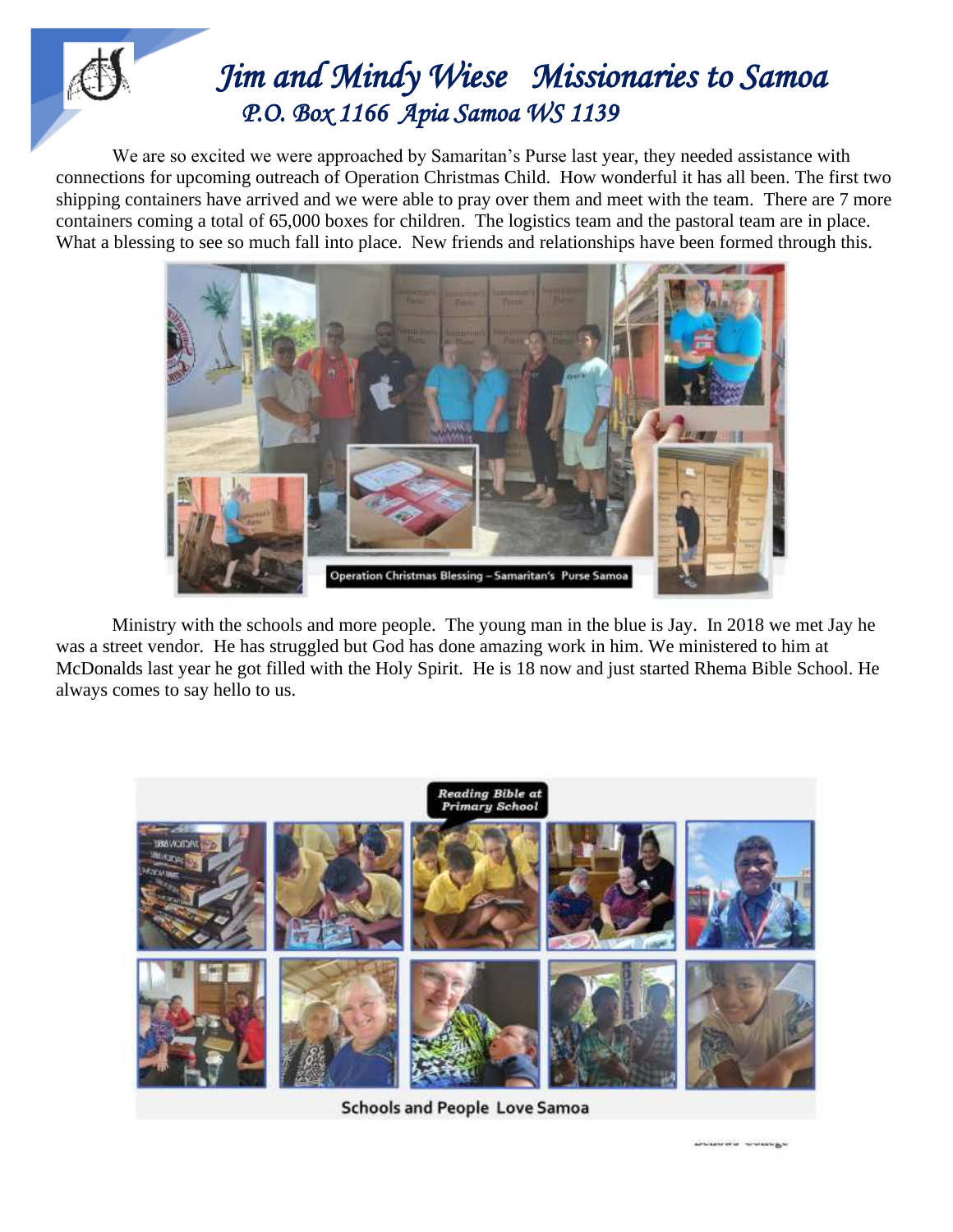## *Jim Jim and Mindy Wiese Missionaries to Samoa P.O. Box 1166 Apia Samoa WS 1139*

 We are so excited we were approached by Samaritan's Purse last year, they needed assistance with connections for upcoming outreach of Operation Christmas Child. How wonderful it has all been. The first two shipping containers have arrived and we were able to pray over them and meet with the team. There are 7 more containers coming a total of 65,000 boxes for children. The logistics team and the pastoral team are in place. What a blessing to see so much fall into place. New friends and relationships have been formed through this.



Ministry with the schools and more people. The young man in the blue is Jay. In 2018 we met Jay he was a street vendor. He has struggled but God has done amazing work in him. We ministered to him at McDonalds last year he got filled with the Holy Spirit. He is 18 now and just started Rhema Bible School. He always comes to say hello to us.



**Schools and People Love Samoa** 

**UNIVER STANDS**